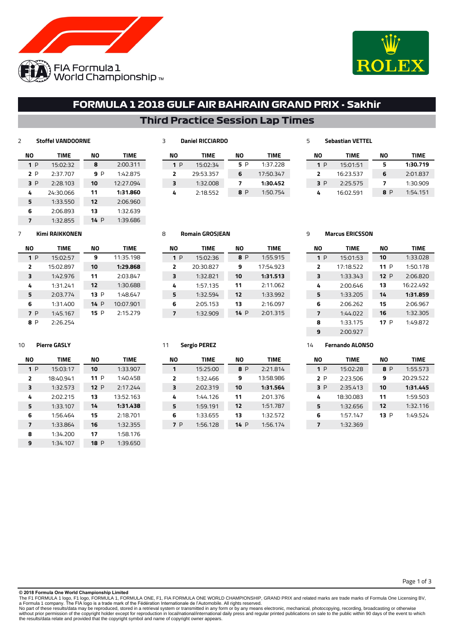



Page 1 of 3

# **FORMULA 1 2018 GULF AIR BAHRAIN GRAND PRIX - Sakhir**

## **Third Practice Session Lap Times**

#### **Stoffel VANDOORNE**

| NΟ  | <b>TIME</b> | NΟ   | <b>TIME</b> |
|-----|-------------|------|-------------|
| 1P  | 15:02:32    | 8    | 2:00.311    |
| 2 P | 2:37.707    | 9 P  | 1:42.875    |
| 3 P | 2:28.103    | 10   | 12:27.094   |
| 4   | 24:30.066   | 11   | 1:31.860    |
| 5   | 1:33.550    | 12   | 2:06.960    |
| 6   | 2:06.893    | 13   | 1:32.639    |
| 7   | 1:32.855    | 14 P | 1:39.686    |

### **Daniel RICCIARDO**

| NΟ | <b>TIME</b> | NΟ  | TIME      | ΝO  | <b>TIME</b> | ΝO  | TIME     |
|----|-------------|-----|-----------|-----|-------------|-----|----------|
| 1P | 15:02:34    | 5 P | 1:37.228  | 1P  | 15:01:51    | 5   | 1:30.719 |
|    | 29:53.357   | 6   | 17:50.347 |     | 16:23.537   | 6   | 2:01.837 |
| 3  | 1:32.008    |     | 1:30.452  | 3 P | 2:25.575    |     | 1:30.909 |
| 4  | 2:18.552    | 8 P | 1:50.754  | 4   | 16:02.591   | 8 P | 1:54.151 |

### **Kimi RAIKKONEN**

| NΟ             | <b>TIME</b> | NΟ   | <b>TIME</b> |
|----------------|-------------|------|-------------|
| 1P             | 15:02:57    | 9    | 11:35.198   |
| $\overline{2}$ | 15:02.897   | 10   | 1:29.868    |
| 3              | 1:42.976    | 11   | 2:03.847    |
| 4              | 1:31.241    | 12   | 1:30.688    |
| 5              | 2:03.774    | 13P  | 1:48.647    |
| 6              | 1:31.400    | 14 P | 10:07.901   |
| 7 P            | 1:45.167    | 15 P | 2:15.279    |
| μ              | 2:26.254    |      |             |

### **Pierre GASLY**

| NΟ                      | <b>TIME</b> | NΟ          | <b>TIME</b> |
|-------------------------|-------------|-------------|-------------|
| 1P                      | 15:03:17    | 10          | 1:33.907    |
| $\overline{2}$          | 18:40.941   | 11P         | 1:40.458    |
| 3                       | 1:32.573    | 12P         | 2:17.244    |
| 4                       | 2:02.215    | 13          | 13:52.163   |
| 5                       | 1:33.107    | 14          | 1:31.438    |
| 6                       | 1:56.464    | 15          | 2:18.701    |
| $\overline{\mathbf{z}}$ | 1:33.864    | 16          | 1:32.355    |
| 8                       | 1:34.200    | 17          | 1:58.176    |
| 9                       | 1:34.107    | <b>18</b> P | 1:39.650    |

### **Romain GROSJEAN**

| NΟ  | <b>TIME</b> | NΟ   | <b>TIME</b> |
|-----|-------------|------|-------------|
| 1 P | 15:02:36    | 8 P  | 1:55.915    |
| 2   | 20:30.827   | 9    | 17:54.923   |
| з   | 1:32.821    | 10   | 1:31.513    |
| 4   | 1:57.135    | 11   | 2:11.062    |
| 5   | 1:32.594    | 12   | 1:33.992    |
| 6   | 2:05.153    | 13   | 2:16.097    |
| 7   | 1:32.909    | 14 P | 2:01.315    |

### **Sergio PEREZ**

| NΟ                       | <b>TIME</b> | NΟ  | TIME      |
|--------------------------|-------------|-----|-----------|
| 1                        | 15:25:00    | 8 P | 2:21.814  |
| $\overline{\phantom{a}}$ | 1:32.466    | 9   | 13:58.986 |
| 3                        | 2:02.319    | 10  | 1:31.564  |
| 4                        | 1:44.126    | 11  | 2:01.376  |
| 5                        | 1:59.191    | 12  | 1:51.787  |
| 6                        | 1:33.655    | 13  | 1:32.572  |
| P                        | 1:56.128    | 14P | 1:56.174  |
|                          |             |     |           |

### **Marcus ERICSSON**

**Sebastian VETTEL**

| NΟ | TIME      | NΟ   | <b>TIME</b> |
|----|-----------|------|-------------|
| 1P | 15:01:53  | 10   | 1:33.028    |
| 2  | 17:18.522 | 11 P | 1:50.178    |
| з  | 1:33.343  | 12P  | 2:06.820    |
| 4  | 2:00.646  | 13   | 16:22.492   |
| 5  | 1:33.205  | 14   | 1:31.859    |
| 6  | 2:06.262  | 15   | 2:06.967    |
| 7  | 1:44.022  | 16   | 1:32.305    |
| я  | 1:33.175  | 17 P | 1:49.872    |
| ٩  | 2:00.927  |      |             |

### **Fernando ALONSO**

| NΟ  | <b>TIME</b> | NΟ   | <b>TIME</b> |
|-----|-------------|------|-------------|
| 1P  | 15:02:28    | 8 P  | 1:55.573    |
| 2 P | 2:23.506    | 9    | 20:29.522   |
| 3 P | 2:35.413    | 10   | 1:31.445    |
| 4   | 18:30.083   | 11   | 1:59.503    |
| 5   | 1:32.656    | 12   | 1:32.116    |
| 6   | 1:57.147    | 13 P | 1:49.524    |
| 7   | 1:32.369    |      |             |

#### **© 2018 Formula One World Championship Limited**

The F1 FORMULA 1 logo, F1 logo, FORMULA 1, FORMULA ONE, F1, FIA FORMULA ONE WORLD CHAMPIONSHIP, GRAND PRIX and related marks are trade marks of Formula One Licensing BV,<br>No part of these results/data may be reproduced, sto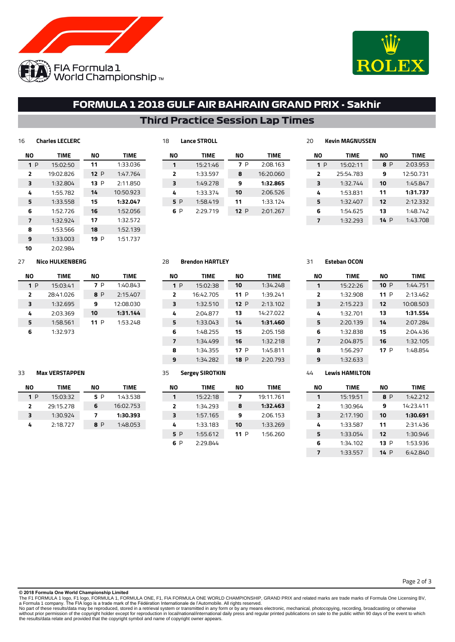



# **FORMULA 1 2018 GULF AIR BAHRAIN GRAND PRIX - Sakhir**

### **Third Practice Session Lap Times**

| 16 | <b>Charles LECLERC</b> |        |             |
|----|------------------------|--------|-------------|
| NΟ | <b>TIME</b>            | NΟ     | <b>TIME</b> |
| 1P | 15:02:50               | 11     | 1:33.036    |
| 2  | 19:02.826              | 12 $P$ | 1:47.764    |
| 3  | 1:32.804               | 13 P   | 2:11.850    |
| 4  | 1:55.782               | 14     | 10:50.923   |
| 5  | 1:33.558               | 15     | 1:32.047    |
| 6  | 1:52.726               | 16     | 1:52.056    |
| 7  | 1:32.924               | 17     | 1:32.572    |
| 8  | 1:53.566               | 18     | 1:52.139    |
| 9  | 1:33.003               | 19 P   | 1:51.737    |
| 10 | 2:02.984               |        |             |

| . .            | ------------- |     |           |             |
|----------------|---------------|-----|-----------|-------------|
| NΟ             | <b>TIME</b>   | NΟ  |           | <b>TIME</b> |
| 1              | 15:21:46      | 7 P | 2:08.163  |             |
| $\overline{2}$ | 1:33.597      | 8   | 16:20.060 |             |
| 3              | 1:49.278      | 9   |           | 1:32.865    |
| 4              | 1:33.374      | 10  |           | 2:06.526    |
| 5 P            | 1:58.419      | 11  |           | 1:33.124    |
| 6 P            | 2:29.719      | 12P |           | 2:01.267    |
|                |               |     |           |             |

| ,,,,,,,,,,,,,,,,,, |      |             |
|--------------------|------|-------------|
| <b>TIME</b>        | NΟ   | <b>TIME</b> |
| 15:02:11           | 8 P  | 2:03.953    |
| 25:54.783          | 9    | 12:50.731   |
| 1:32.744           | 10   | 1:45.847    |
| 1:53.831           | 11   | 1:31.737    |
| 1:32.407           | 12   | 2:12.332    |
| 1:54.625           | 13   | 1:48.742    |
| 1:32.293           | 14 P | 1:43.708    |
|                    |      |             |

### **Nico HULKENBERG**

| NΟ  | <b>TIME</b> | NΟ   | TIME      |
|-----|-------------|------|-----------|
| 1 P | 15:03:41    | 7 P  | 1:40.843  |
| 2   | 28:41.026   | 8 P  | 2:15.407  |
| 3   | 1:32.695    | 9    | 12:08.030 |
| 4   | 2:03.369    | 10   | 1:31.144  |
| 5   | 1:58.561    | 11 P | 1:53.248  |
| б   | 1:32.973    |      |           |

### **Brendon HARTLEY**

**Lance STROLL**

| NΟ             | <b>TIME</b> | NΟ          | <b>TIME</b> |  |  |
|----------------|-------------|-------------|-------------|--|--|
| 1P             | 15:02:38    | 10          | 1:34.248    |  |  |
| $\overline{2}$ | 16:42.705   | 11 P        | 1:39.241    |  |  |
| 3              | 1:32.510    | 12P         | 2:13.102    |  |  |
| 4              | 2:04.877    | 13          | 14:27.022   |  |  |
| 5              | 1:33.043    | 14          | 1:31.460    |  |  |
| 6              | 1:48.255    | 15          | 2:05.158    |  |  |
| 7              | 1:34.499    | 16          | 1:32.218    |  |  |
| 8              | 1:34.355    | 17P         | 1:45.811    |  |  |
| 9              | 1:34.282    | <b>18</b> P | 2:20.793    |  |  |

### **Max VERSTAPPEN**

| NΟ                       | TIME      | NΟ  | <b>TIME</b> |  |
|--------------------------|-----------|-----|-------------|--|
| 1 P                      | 15:03:32  | 5 P | 1:43.538    |  |
| $\overline{\phantom{a}}$ | 29:15.278 | 6   | 16:02.753   |  |
| ₹                        | 1:30.924  | 7   | 1:30.393    |  |
| 4                        | 2:18.727  | 8 P | 1:48.053    |  |

### **Sergey SIROTKIN**

| NΟ                      | TIME     | NΟ   | <b>TIME</b> |  |
|-------------------------|----------|------|-------------|--|
| 1                       | 15:22:18 | 7    | 19:11.761   |  |
| $\overline{\mathbf{z}}$ | 1:34.293 | 8    | 1:32.463    |  |
| з                       | 1:57.165 | 9    | 2:06.153    |  |
| 4                       | 1:33.183 | 10   | 1:33.269    |  |
| 5 P                     | 1:55.612 | 11 P | 1:56.260    |  |
| D                       | 2:29.844 |      |             |  |

#### **Esteban OCON**

**Kevin MAGNUSSEN**

| NΟ                      | <b>TIME</b> | NΟ   | <b>TIME</b> |  |  |
|-------------------------|-------------|------|-------------|--|--|
| 1                       | 15:22:26    | 10P  | 1:44.751    |  |  |
| $\overline{\mathbf{z}}$ | 1:32.908    | 11 P | 2:13.462    |  |  |
| 3                       | 2:15.223    | 12   | 10:08.503   |  |  |
| 4                       | 1:32.701    | 13   | 1:31.554    |  |  |
| 5                       | 2:20.139    | 14   | 2:07.284    |  |  |
| 6                       | 1:32.838    | 15   | 2:04.436    |  |  |
| 7                       | 2:04.875    | 16   | 1:32.105    |  |  |
| я                       | 1:56.297    | 17 P | 1:48.854    |  |  |
| q                       | 1:32.633    |      |             |  |  |

### **Lewis HAMILTON**

| NΟ | TIME     | NΟ   | <b>TIME</b> |  |  |
|----|----------|------|-------------|--|--|
| 1  | 15:19:51 | 8 P  | 1:42.212    |  |  |
| ,  | 1:30.964 | 9    | 14:23.411   |  |  |
| з  | 2:17.190 | 10   | 1:30.691    |  |  |
| 4  | 1:33.587 | 11   | 2:31.436    |  |  |
| 5  | 1:33.054 | 12   | 1:30.946    |  |  |
| 6  | 1:34.102 | 13 P | 1:53.936    |  |  |
| 7  | 1:33.557 | 14 P | 6:42.840    |  |  |

**© 2018 Formula One World Championship Limited**

The F1 FORMULA 1 logo, F1 logo, FORMULA 1, FORMULA ONE, F1, FIA FORMULA ONE WORLD CHAMPIONSHIP, GRAND PRIX and related marks are trade marks of Formula One Licensing BV,<br>No part of these results/data may be reproduced, sto